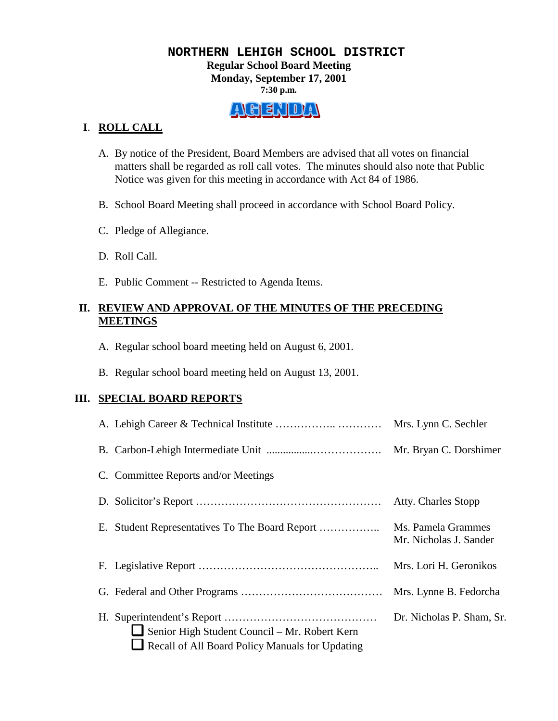#### **NORTHERN LEHIGH SCHOOL DISTRICT Regular School Board Meeting Monday, September 17, 2001 7:30 p.m.**

# AGENDAY

# **I**. **ROLL CALL**

- A. By notice of the President, Board Members are advised that all votes on financial matters shall be regarded as roll call votes. The minutes should also note that Public Notice was given for this meeting in accordance with Act 84 of 1986.
- B. School Board Meeting shall proceed in accordance with School Board Policy.
- C. Pledge of Allegiance.
- D. Roll Call.
- E. Public Comment -- Restricted to Agenda Items.

# **II. REVIEW AND APPROVAL OF THE MINUTES OF THE PRECEDING MEETINGS**

- A. Regular school board meeting held on August 6, 2001.
- B. Regular school board meeting held on August 13, 2001.

# **III. SPECIAL BOARD REPORTS**

|                                                                                                  | Mrs. Lynn C. Sechler                         |
|--------------------------------------------------------------------------------------------------|----------------------------------------------|
|                                                                                                  | Mr. Bryan C. Dorshimer                       |
| C. Committee Reports and/or Meetings                                                             |                                              |
|                                                                                                  | Atty. Charles Stopp                          |
| Е.                                                                                               | Ms. Pamela Grammes<br>Mr. Nicholas J. Sander |
|                                                                                                  | Mrs. Lori H. Geronikos                       |
|                                                                                                  | Mrs. Lynne B. Fedorcha                       |
| Senior High Student Council – Mr. Robert Kern<br>Recall of All Board Policy Manuals for Updating | Dr. Nicholas P. Sham, Sr.                    |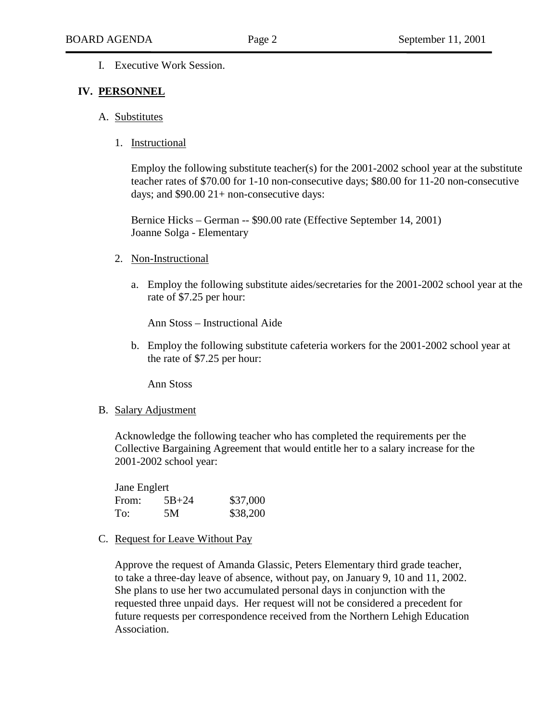I. Executive Work Session.

#### **IV. PERSONNEL**

- A. Substitutes
	- 1. Instructional

Employ the following substitute teacher(s) for the 2001-2002 school year at the substitute teacher rates of \$70.00 for 1-10 non-consecutive days; \$80.00 for 11-20 non-consecutive days; and \$90.00 21+ non-consecutive days:

 Bernice Hicks – German -- \$90.00 rate (Effective September 14, 2001) Joanne Solga - Elementary

- 2. Non-Instructional
	- a. Employ the following substitute aides/secretaries for the 2001-2002 school year at the rate of \$7.25 per hour:

Ann Stoss – Instructional Aide

b. Employ the following substitute cafeteria workers for the 2001-2002 school year at the rate of \$7.25 per hour:

Ann Stoss

B. Salary Adjustment

Acknowledge the following teacher who has completed the requirements per the Collective Bargaining Agreement that would entitle her to a salary increase for the 2001-2002 school year:

| Jane Englert |           |          |
|--------------|-----------|----------|
| From:        | $5B + 24$ | \$37,000 |
| To:          | .5M       | \$38,200 |

C. Request for Leave Without Pay

Approve the request of Amanda Glassic, Peters Elementary third grade teacher, to take a three-day leave of absence, without pay, on January 9, 10 and 11, 2002. She plans to use her two accumulated personal days in conjunction with the requested three unpaid days. Her request will not be considered a precedent for future requests per correspondence received from the Northern Lehigh Education Association.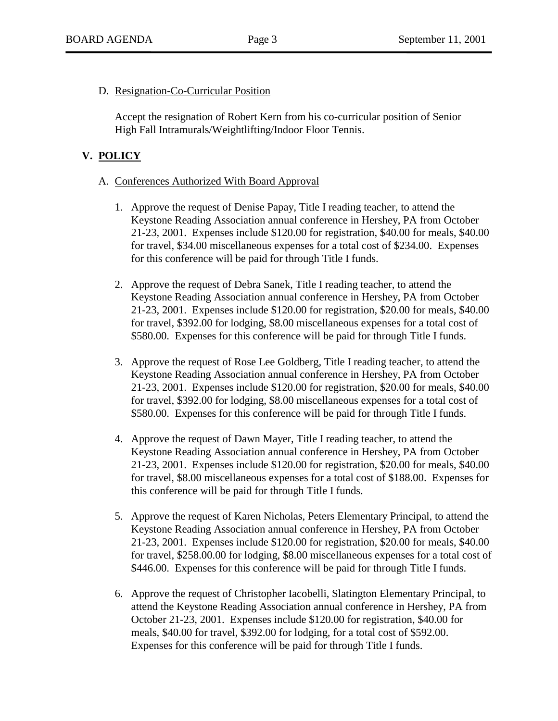D. Resignation-Co-Curricular Position

Accept the resignation of Robert Kern from his co-curricular position of Senior High Fall Intramurals/Weightlifting/Indoor Floor Tennis.

# **V. POLICY**

#### A. Conferences Authorized With Board Approval

- 1. Approve the request of Denise Papay, Title I reading teacher, to attend the Keystone Reading Association annual conference in Hershey, PA from October 21-23, 2001. Expenses include \$120.00 for registration, \$40.00 for meals, \$40.00 for travel, \$34.00 miscellaneous expenses for a total cost of \$234.00. Expenses for this conference will be paid for through Title I funds.
- 2. Approve the request of Debra Sanek, Title I reading teacher, to attend the Keystone Reading Association annual conference in Hershey, PA from October 21-23, 2001. Expenses include \$120.00 for registration, \$20.00 for meals, \$40.00 for travel, \$392.00 for lodging, \$8.00 miscellaneous expenses for a total cost of \$580.00. Expenses for this conference will be paid for through Title I funds.
- 3. Approve the request of Rose Lee Goldberg, Title I reading teacher, to attend the Keystone Reading Association annual conference in Hershey, PA from October 21-23, 2001. Expenses include \$120.00 for registration, \$20.00 for meals, \$40.00 for travel, \$392.00 for lodging, \$8.00 miscellaneous expenses for a total cost of \$580.00. Expenses for this conference will be paid for through Title I funds.
- 4. Approve the request of Dawn Mayer, Title I reading teacher, to attend the Keystone Reading Association annual conference in Hershey, PA from October 21-23, 2001. Expenses include \$120.00 for registration, \$20.00 for meals, \$40.00 for travel, \$8.00 miscellaneous expenses for a total cost of \$188.00. Expenses for this conference will be paid for through Title I funds.
- 5. Approve the request of Karen Nicholas, Peters Elementary Principal, to attend the Keystone Reading Association annual conference in Hershey, PA from October 21-23, 2001. Expenses include \$120.00 for registration, \$20.00 for meals, \$40.00 for travel, \$258.00.00 for lodging, \$8.00 miscellaneous expenses for a total cost of \$446.00. Expenses for this conference will be paid for through Title I funds.
- 6. Approve the request of Christopher Iacobelli, Slatington Elementary Principal, to attend the Keystone Reading Association annual conference in Hershey, PA from October 21-23, 2001. Expenses include \$120.00 for registration, \$40.00 for meals, \$40.00 for travel, \$392.00 for lodging, for a total cost of \$592.00. Expenses for this conference will be paid for through Title I funds.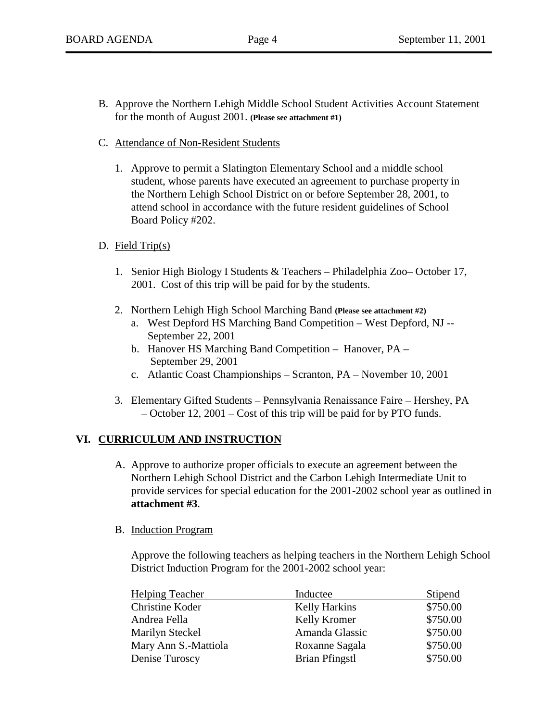- B. Approve the Northern Lehigh Middle School Student Activities Account Statement for the month of August 2001. **(Please see attachment #1)**
- C. Attendance of Non-Resident Students
	- 1. Approve to permit a Slatington Elementary School and a middle school student, whose parents have executed an agreement to purchase property in the Northern Lehigh School District on or before September 28, 2001, to attend school in accordance with the future resident guidelines of School Board Policy #202.
- D. Field Trip(s)
	- 1. Senior High Biology I Students & Teachers Philadelphia Zoo– October 17, 2001. Cost of this trip will be paid for by the students.
	- 2. Northern Lehigh High School Marching Band **(Please see attachment #2)**
		- a. West Depford HS Marching Band Competition West Depford, NJ -- September 22, 2001
		- b. Hanover HS Marching Band Competition Hanover, PA September 29, 2001
		- c. Atlantic Coast Championships Scranton, PA November 10, 2001
	- 3. Elementary Gifted Students Pennsylvania Renaissance Faire Hershey, PA – October 12, 2001 – Cost of this trip will be paid for by PTO funds.

# **VI. CURRICULUM AND INSTRUCTION**

A. Approve to authorize proper officials to execute an agreement between the Northern Lehigh School District and the Carbon Lehigh Intermediate Unit to provide services for special education for the 2001-2002 school year as outlined in **attachment #3**.

# B. Induction Program

Approve the following teachers as helping teachers in the Northern Lehigh School District Induction Program for the 2001-2002 school year:

| <b>Helping Teacher</b> | Inductee              | Stipend  |
|------------------------|-----------------------|----------|
| Christine Koder        | <b>Kelly Harkins</b>  | \$750.00 |
| Andrea Fella           | Kelly Kromer          | \$750.00 |
| Marilyn Steckel        | Amanda Glassic        | \$750.00 |
| Mary Ann S.-Mattiola   | Roxanne Sagala        | \$750.00 |
| Denise Turoscy         | <b>Brian Pfingstl</b> | \$750.00 |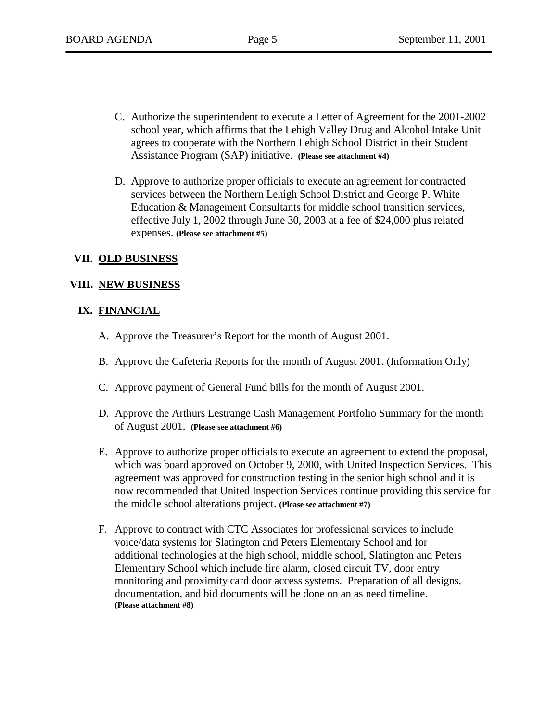- C. Authorize the superintendent to execute a Letter of Agreement for the 2001-2002 school year, which affirms that the Lehigh Valley Drug and Alcohol Intake Unit agrees to cooperate with the Northern Lehigh School District in their Student Assistance Program (SAP) initiative. **(Please see attachment #4)**
- D. Approve to authorize proper officials to execute an agreement for contracted services between the Northern Lehigh School District and George P. White Education & Management Consultants for middle school transition services, effective July 1, 2002 through June 30, 2003 at a fee of \$24,000 plus related expenses. **(Please see attachment #5)**

# **VII. OLD BUSINESS**

# **VIII. NEW BUSINESS**

# **IX. FINANCIAL**

- A. Approve the Treasurer's Report for the month of August 2001.
- B. Approve the Cafeteria Reports for the month of August 2001. (Information Only)
- C. Approve payment of General Fund bills for the month of August 2001.
- D. Approve the Arthurs Lestrange Cash Management Portfolio Summary for the month of August 2001. **(Please see attachment #6)**
- E. Approve to authorize proper officials to execute an agreement to extend the proposal, which was board approved on October 9, 2000, with United Inspection Services. This agreement was approved for construction testing in the senior high school and it is now recommended that United Inspection Services continue providing this service for the middle school alterations project. **(Please see attachment #7)**
- F. Approve to contract with CTC Associates for professional services to include voice/data systems for Slatington and Peters Elementary School and for additional technologies at the high school, middle school, Slatington and Peters Elementary School which include fire alarm, closed circuit TV, door entry monitoring and proximity card door access systems. Preparation of all designs, documentation, and bid documents will be done on an as need timeline.  **(Please attachment #8)**